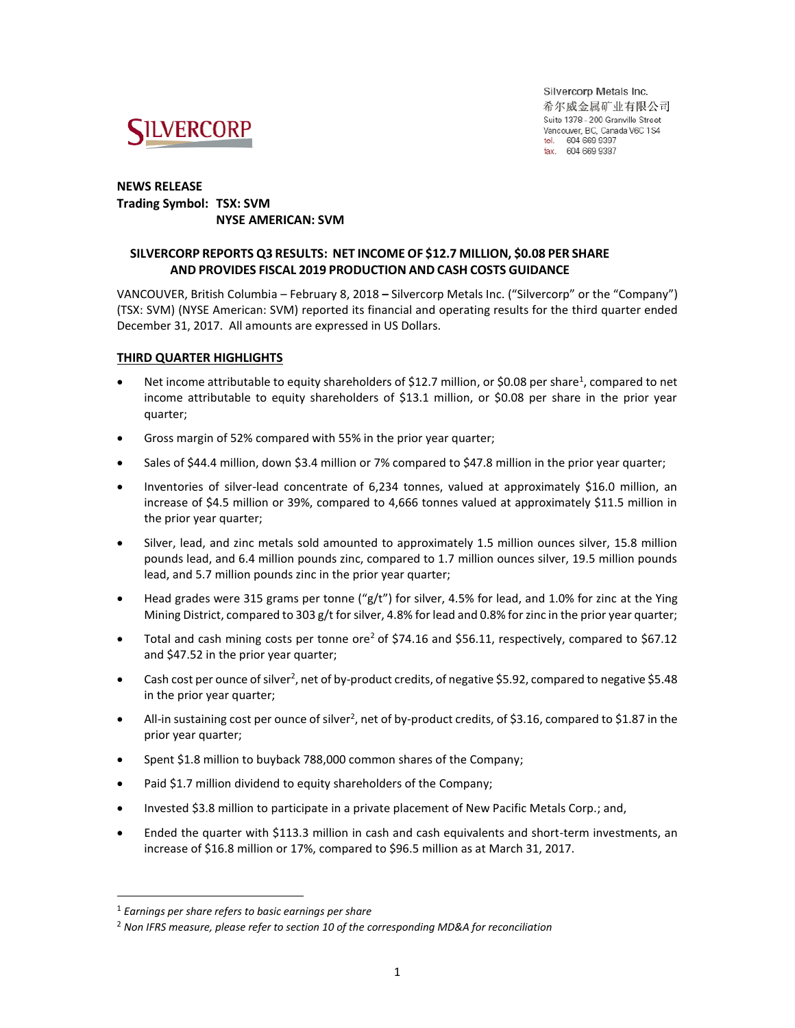

Silvercorp Metals Inc. 希尔威金属矿业有限公司 Suite 1378 - 200 Granville Street Vancouver, BC, Canada V6C 1S4 tel. 604 669 9397 fax. 604 669 9387

### **NEWS RELEASE Trading Symbol: TSX: SVM NYSE AMERICAN: SVM**

## **SILVERCORP REPORTS Q3 RESULTS: NET INCOME OF \$12.7 MILLION, \$0.08 PER SHARE AND PROVIDES FISCAL 2019 PRODUCTION AND CASH COSTS GUIDANCE**

VANCOUVER, British Columbia – February 8, 2018 **–** Silvercorp Metals Inc. ("Silvercorp" or the "Company") (TSX: SVM) (NYSE American: SVM) reported its financial and operating results for the third quarter ended December 31, 2017. All amounts are expressed in US Dollars.

### **THIRD QUARTER HIGHLIGHTS**

- Net income attributable to equity shareholders of \$12.7 million, or \$0.08 per share<sup>1</sup>, compared to net income attributable to equity shareholders of \$13.1 million, or \$0.08 per share in the prior year quarter;
- Gross margin of 52% compared with 55% in the prior year quarter;
- Sales of \$44.4 million, down \$3.4 million or 7% compared to \$47.8 million in the prior year quarter;
- Inventories of silver-lead concentrate of 6,234 tonnes, valued at approximately \$16.0 million, an increase of \$4.5 million or 39%, compared to 4,666 tonnes valued at approximately \$11.5 million in the prior year quarter;
- Silver, lead, and zinc metals sold amounted to approximately 1.5 million ounces silver, 15.8 million pounds lead, and 6.4 million pounds zinc, compared to 1.7 million ounces silver, 19.5 million pounds lead, and 5.7 million pounds zinc in the prior year quarter;
- Head grades were 315 grams per tonne (" $g/t$ ") for silver, 4.5% for lead, and 1.0% for zinc at the Ying Mining District, compared to 303 g/t for silver, 4.8% for lead and 0.8% for zinc in the prior year quarter;
- Total and cash mining costs per tonne ore<sup>2</sup> of \$74.16 and \$56.11, respectively, compared to \$67.12 and \$47.52 in the prior year quarter;
- Cash cost per ounce of silver<sup>2</sup>, net of by-product credits, of negative \$5.92, compared to negative \$5.48 in the prior year quarter;
- All-in sustaining cost per ounce of silver<sup>2</sup>, net of by-product credits, of \$3.16, compared to \$1.87 in the prior year quarter;
- Spent \$1.8 million to buyback 788,000 common shares of the Company;
- Paid \$1.7 million dividend to equity shareholders of the Company;
- Invested \$3.8 million to participate in a private placement of New Pacific Metals Corp.; and,
- Ended the quarter with \$113.3 million in cash and cash equivalents and short-term investments, an increase of \$16.8 million or 17%, compared to \$96.5 million as at March 31, 2017.

 $\overline{a}$ 

<sup>1</sup> *Earnings per share refers to basic earnings per share*

<sup>2</sup> *Non IFRS measure, please refer to section 10 of the corresponding MD&A for reconciliation*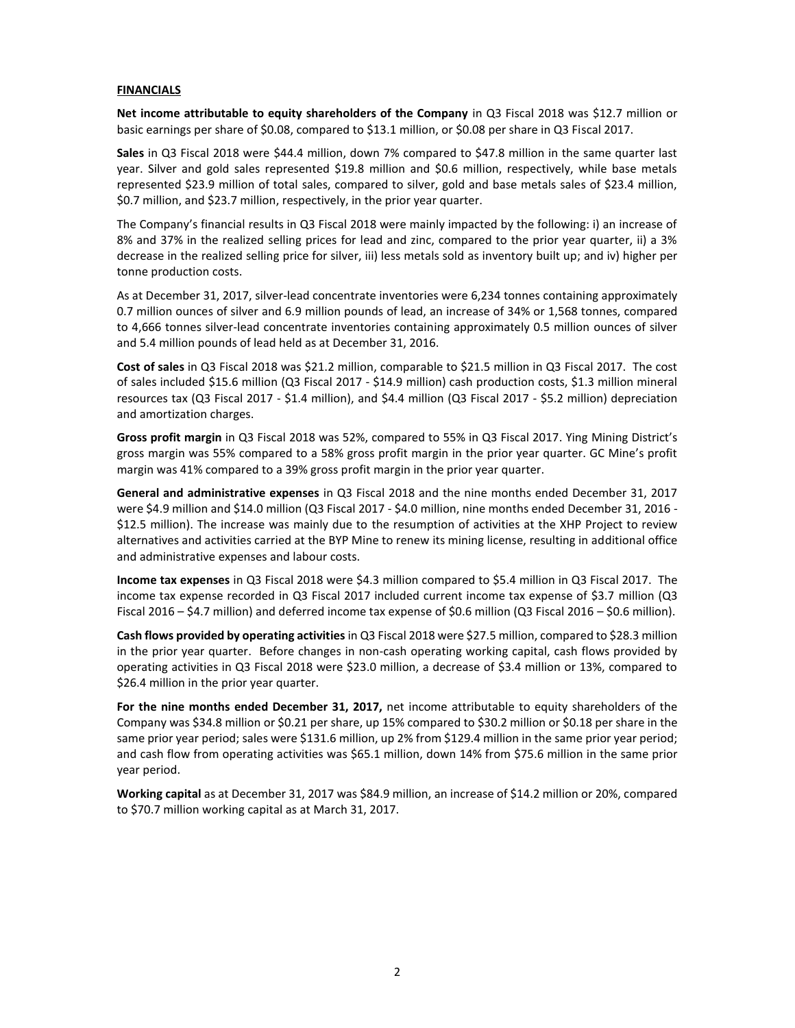#### **FINANCIALS**

**Net income attributable to equity shareholders of the Company** in Q3 Fiscal 2018 was \$12.7 million or basic earnings per share of \$0.08, compared to \$13.1 million, or \$0.08 per share in Q3 Fiscal 2017.

**Sales** in Q3 Fiscal 2018 were \$44.4 million, down 7% compared to \$47.8 million in the same quarter last year. Silver and gold sales represented \$19.8 million and \$0.6 million, respectively, while base metals represented \$23.9 million of total sales, compared to silver, gold and base metals sales of \$23.4 million, \$0.7 million, and \$23.7 million, respectively, in the prior year quarter.

The Company's financial results in Q3 Fiscal 2018 were mainly impacted by the following: i) an increase of 8% and 37% in the realized selling prices for lead and zinc, compared to the prior year quarter, ii) a 3% decrease in the realized selling price for silver, iii) less metals sold as inventory built up; and iv) higher per tonne production costs.

As at December 31, 2017, silver-lead concentrate inventories were 6,234 tonnes containing approximately 0.7 million ounces of silver and 6.9 million pounds of lead, an increase of 34% or 1,568 tonnes, compared to 4,666 tonnes silver-lead concentrate inventories containing approximately 0.5 million ounces of silver and 5.4 million pounds of lead held as at December 31, 2016.

**Cost of sales** in Q3 Fiscal 2018 was \$21.2 million, comparable to \$21.5 million in Q3 Fiscal 2017. The cost of sales included \$15.6 million (Q3 Fiscal 2017 - \$14.9 million) cash production costs, \$1.3 million mineral resources tax (Q3 Fiscal 2017 - \$1.4 million), and \$4.4 million (Q3 Fiscal 2017 - \$5.2 million) depreciation and amortization charges.

**Gross profit margin** in Q3 Fiscal 2018 was 52%, compared to 55% in Q3 Fiscal 2017. Ying Mining District's gross margin was 55% compared to a 58% gross profit margin in the prior year quarter. GC Mine's profit margin was 41% compared to a 39% gross profit margin in the prior year quarter.

**General and administrative expenses** in Q3 Fiscal 2018 and the nine months ended December 31, 2017 were \$4.9 million and \$14.0 million (Q3 Fiscal 2017 - \$4.0 million, nine months ended December 31, 2016 - \$12.5 million). The increase was mainly due to the resumption of activities at the XHP Project to review alternatives and activities carried at the BYP Mine to renew its mining license, resulting in additional office and administrative expenses and labour costs.

**Income tax expenses** in Q3 Fiscal 2018 were \$4.3 million compared to \$5.4 million in Q3 Fiscal 2017. The income tax expense recorded in Q3 Fiscal 2017 included current income tax expense of \$3.7 million (Q3 Fiscal 2016 – \$4.7 million) and deferred income tax expense of \$0.6 million (Q3 Fiscal 2016 – \$0.6 million).

**Cash flows provided by operating activities** in Q3 Fiscal 2018 were \$27.5 million, compared to \$28.3 million in the prior year quarter. Before changes in non-cash operating working capital, cash flows provided by operating activities in Q3 Fiscal 2018 were \$23.0 million, a decrease of \$3.4 million or 13%, compared to \$26.4 million in the prior year quarter.

For the nine months ended December 31, 2017, net income attributable to equity shareholders of the Company was \$34.8 million or \$0.21 per share, up 15% compared to \$30.2 million or \$0.18 per share in the same prior year period; sales were \$131.6 million, up 2% from \$129.4 million in the same prior year period; and cash flow from operating activities was \$65.1 million, down 14% from \$75.6 million in the same prior year period.

**Working capital** as at December 31, 2017 was \$84.9 million, an increase of \$14.2 million or 20%, compared to \$70.7 million working capital as at March 31, 2017.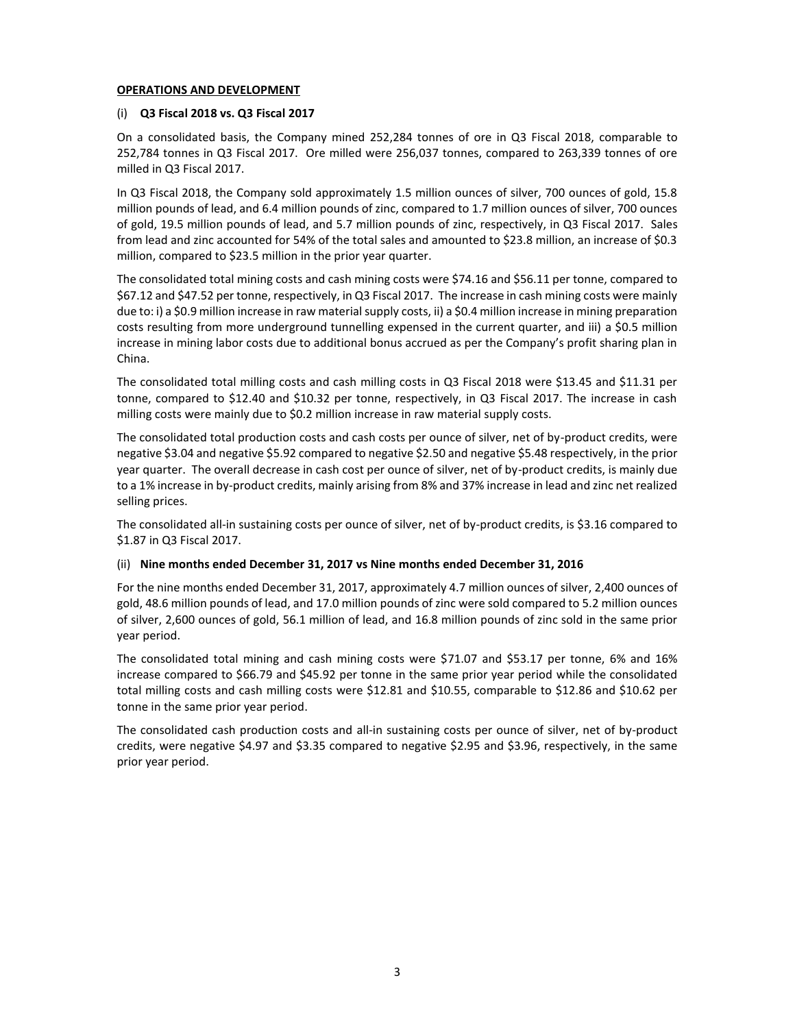#### **OPERATIONS AND DEVELOPMENT**

### (i) **Q3 Fiscal 2018 vs. Q3 Fiscal 2017**

On a consolidated basis, the Company mined 252,284 tonnes of ore in Q3 Fiscal 2018, comparable to 252,784 tonnes in Q3 Fiscal 2017. Ore milled were 256,037 tonnes, compared to 263,339 tonnes of ore milled in Q3 Fiscal 2017.

In Q3 Fiscal 2018, the Company sold approximately 1.5 million ounces of silver, 700 ounces of gold, 15.8 million pounds of lead, and 6.4 million pounds of zinc, compared to 1.7 million ounces of silver, 700 ounces of gold, 19.5 million pounds of lead, and 5.7 million pounds of zinc, respectively, in Q3 Fiscal 2017. Sales from lead and zinc accounted for 54% of the total sales and amounted to \$23.8 million, an increase of \$0.3 million, compared to \$23.5 million in the prior year quarter.

The consolidated total mining costs and cash mining costs were \$74.16 and \$56.11 per tonne, compared to \$67.12 and \$47.52 per tonne, respectively, in Q3 Fiscal 2017. The increase in cash mining costs were mainly due to: i) a \$0.9 million increase in raw materialsupply costs, ii) a \$0.4 million increase in mining preparation costs resulting from more underground tunnelling expensed in the current quarter, and iii) a \$0.5 million increase in mining labor costs due to additional bonus accrued as per the Company's profit sharing plan in China.

The consolidated total milling costs and cash milling costs in Q3 Fiscal 2018 were \$13.45 and \$11.31 per tonne, compared to \$12.40 and \$10.32 per tonne, respectively, in Q3 Fiscal 2017. The increase in cash milling costs were mainly due to \$0.2 million increase in raw material supply costs.

The consolidated total production costs and cash costs per ounce of silver, net of by-product credits, were negative \$3.04 and negative \$5.92 compared to negative \$2.50 and negative \$5.48 respectively, in the prior year quarter. The overall decrease in cash cost per ounce of silver, net of by-product credits, is mainly due to a 1% increase in by-product credits, mainly arising from 8% and 37% increase in lead and zinc net realized selling prices.

The consolidated all-in sustaining costs per ounce of silver, net of by-product credits, is \$3.16 compared to \$1.87 in Q3 Fiscal 2017.

### (ii) **Nine months ended December 31, 2017 vs Nine months ended December 31, 2016**

For the nine months ended December 31, 2017, approximately 4.7 million ounces of silver, 2,400 ounces of gold, 48.6 million pounds of lead, and 17.0 million pounds of zinc were sold compared to 5.2 million ounces of silver, 2,600 ounces of gold, 56.1 million of lead, and 16.8 million pounds of zinc sold in the same prior year period.

The consolidated total mining and cash mining costs were \$71.07 and \$53.17 per tonne, 6% and 16% increase compared to \$66.79 and \$45.92 per tonne in the same prior year period while the consolidated total milling costs and cash milling costs were \$12.81 and \$10.55, comparable to \$12.86 and \$10.62 per tonne in the same prior year period.

The consolidated cash production costs and all-in sustaining costs per ounce of silver, net of by-product credits, were negative \$4.97 and \$3.35 compared to negative \$2.95 and \$3.96, respectively, in the same prior year period.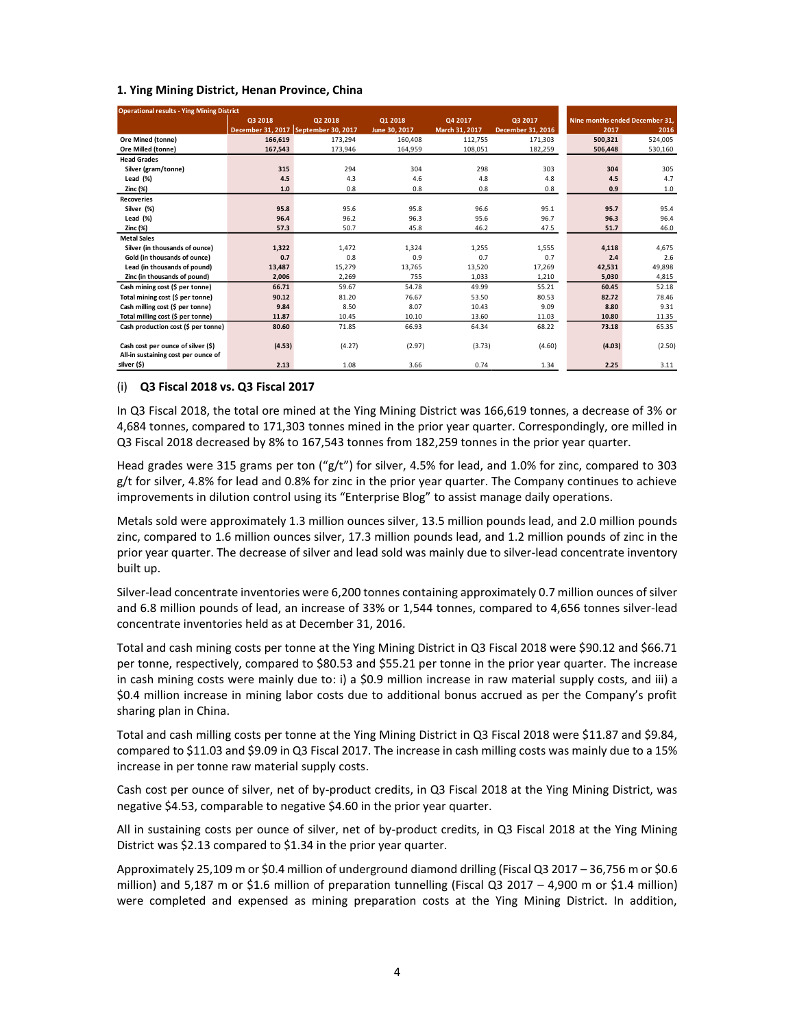#### **1. Ying Mining District, Henan Province, China**

| <b>Operational results - Ying Mining District</b> |                |                                        |               |                |                   |                                |         |
|---------------------------------------------------|----------------|----------------------------------------|---------------|----------------|-------------------|--------------------------------|---------|
|                                                   | <b>Q3 2018</b> | <b>Q2 2018</b>                         | 01 2018       | Q4 2017        | Q3 2017           | Nine months ended December 31. |         |
|                                                   |                | December 31, 2017   September 30, 2017 | June 30, 2017 | March 31, 2017 | December 31, 2016 | 2017                           | 2016    |
| Ore Mined (tonne)                                 | 166,619        | 173,294                                | 160,408       | 112,755        | 171,303           | 500,321                        | 524,005 |
| Ore Milled (tonne)                                | 167.543        | 173.946                                | 164,959       | 108,051        | 182,259           | 506,448                        | 530,160 |
| <b>Head Grades</b>                                |                |                                        |               |                |                   |                                |         |
| Silver (gram/tonne)                               | 315            | 294                                    | 304           | 298            | 303               | 304                            | 305     |
| Lead $(\%)$                                       | 4.5            | 4.3                                    | 4.6           | 4.8            | 4.8               | 4.5                            | 4.7     |
| Zinc (%)                                          | 1.0            | 0.8                                    | 0.8           | 0.8            | 0.8               | 0.9                            | 1.0     |
| <b>Recoveries</b>                                 |                |                                        |               |                |                   |                                |         |
| Silver (%)                                        | 95.8           | 95.6                                   | 95.8          | 96.6           | 95.1              | 95.7                           | 95.4    |
| Lead $(\%)$                                       | 96.4           | 96.2                                   | 96.3          | 95.6           | 96.7              | 96.3                           | 96.4    |
| Zinc (%)                                          | 57.3           | 50.7                                   | 45.8          | 46.2           | 47.5              | 51.7                           | 46.0    |
| <b>Metal Sales</b>                                |                |                                        |               |                |                   |                                |         |
| Silver (in thousands of ounce)                    | 1,322          | 1,472                                  | 1.324         | 1.255          | 1,555             | 4,118                          | 4,675   |
| Gold (in thousands of ounce)                      | 0.7            | 0.8                                    | 0.9           | 0.7            | 0.7               | 2.4                            | 2.6     |
| Lead (in thousands of pound)                      | 13,487         | 15,279                                 | 13,765        | 13,520         | 17,269            | 42,531                         | 49,898  |
| Zinc (in thousands of pound)                      | 2.006          | 2,269                                  | 755           | 1,033          | 1,210             | 5.030                          | 4,815   |
| Cash mining cost (\$ per tonne)                   | 66.71          | 59.67                                  | 54.78         | 49.99          | 55.21             | 60.45                          | 52.18   |
| Total mining cost (\$ per tonne)                  | 90.12          | 81.20                                  | 76.67         | 53.50          | 80.53             | 82.72                          | 78.46   |
| Cash milling cost (\$ per tonne)                  | 9.84           | 8.50                                   | 8.07          | 10.43          | 9.09              | 8.80                           | 9.31    |
| Total milling cost (\$ per tonne)                 | 11.87          | 10.45                                  | 10.10         | 13.60          | 11.03             | 10.80                          | 11.35   |
| Cash production cost (\$ per tonne)               | 80.60          | 71.85                                  | 66.93         | 64.34          | 68.22             | 73.18                          | 65.35   |
|                                                   |                |                                        |               |                |                   |                                |         |
| Cash cost per ounce of silver (\$)                | (4.53)         | (4.27)                                 | (2.97)        | (3.73)         | (4.60)            | (4.03)                         | (2.50)  |
| All-in sustaining cost per ounce of               |                |                                        |               |                |                   |                                |         |
| silver (\$)                                       | 2.13           | 1.08                                   | 3.66          | 0.74           | 1.34              | 2.25                           | 3.11    |

#### (i) **Q3 Fiscal 2018 vs. Q3 Fiscal 2017**

In Q3 Fiscal 2018, the total ore mined at the Ying Mining District was 166,619 tonnes, a decrease of 3% or 4,684 tonnes, compared to 171,303 tonnes mined in the prior year quarter. Correspondingly, ore milled in Q3 Fiscal 2018 decreased by 8% to 167,543 tonnes from 182,259 tonnes in the prior year quarter.

Head grades were 315 grams per ton (" $g/t$ ") for silver, 4.5% for lead, and 1.0% for zinc, compared to 303 g/t for silver, 4.8% for lead and 0.8% for zinc in the prior year quarter. The Company continues to achieve improvements in dilution control using its "Enterprise Blog" to assist manage daily operations.

Metals sold were approximately 1.3 million ounces silver, 13.5 million pounds lead, and 2.0 million pounds zinc, compared to 1.6 million ounces silver, 17.3 million pounds lead, and 1.2 million pounds of zinc in the prior year quarter. The decrease of silver and lead sold was mainly due to silver-lead concentrate inventory built up.

Silver-lead concentrate inventories were 6,200 tonnes containing approximately 0.7 million ounces of silver and 6.8 million pounds of lead, an increase of 33% or 1,544 tonnes, compared to 4,656 tonnes silver-lead concentrate inventories held as at December 31, 2016.

Total and cash mining costs per tonne at the Ying Mining District in Q3 Fiscal 2018 were \$90.12 and \$66.71 per tonne, respectively, compared to \$80.53 and \$55.21 per tonne in the prior year quarter. The increase in cash mining costs were mainly due to: i) a \$0.9 million increase in raw material supply costs, and iii) a \$0.4 million increase in mining labor costs due to additional bonus accrued as per the Company's profit sharing plan in China.

Total and cash milling costs per tonne at the Ying Mining District in Q3 Fiscal 2018 were \$11.87 and \$9.84, compared to \$11.03 and \$9.09 in Q3 Fiscal 2017. The increase in cash milling costs was mainly due to a 15% increase in per tonne raw material supply costs.

Cash cost per ounce of silver, net of by-product credits, in Q3 Fiscal 2018 at the Ying Mining District, was negative \$4.53, comparable to negative \$4.60 in the prior year quarter.

All in sustaining costs per ounce of silver, net of by-product credits, in Q3 Fiscal 2018 at the Ying Mining District was \$2.13 compared to \$1.34 in the prior year quarter.

Approximately 25,109 m or \$0.4 million of underground diamond drilling (Fiscal Q3 2017 – 36,756 m or \$0.6 million) and 5,187 m or \$1.6 million of preparation tunnelling (Fiscal Q3 2017 – 4,900 m or \$1.4 million) were completed and expensed as mining preparation costs at the Ying Mining District. In addition,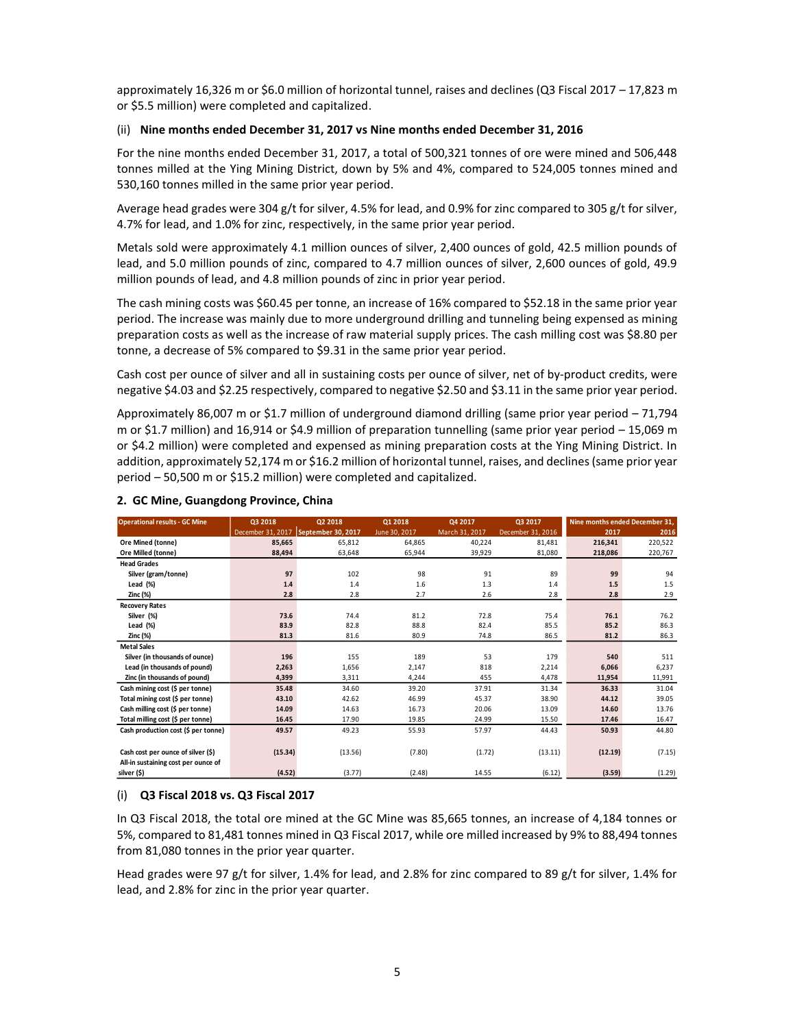approximately 16,326 m or \$6.0 million of horizontal tunnel, raises and declines (Q3 Fiscal 2017 – 17,823 m or \$5.5 million) were completed and capitalized.

### (ii) **Nine months ended December 31, 2017 vs Nine months ended December 31, 2016**

For the nine months ended December 31, 2017, a total of 500,321 tonnes of ore were mined and 506,448 tonnes milled at the Ying Mining District, down by 5% and 4%, compared to 524,005 tonnes mined and 530,160 tonnes milled in the same prior year period.

Average head grades were 304 g/t for silver, 4.5% for lead, and 0.9% for zinc compared to 305 g/t for silver, 4.7% for lead, and 1.0% for zinc, respectively, in the same prior year period.

Metals sold were approximately 4.1 million ounces of silver, 2,400 ounces of gold, 42.5 million pounds of lead, and 5.0 million pounds of zinc, compared to 4.7 million ounces of silver, 2,600 ounces of gold, 49.9 million pounds of lead, and 4.8 million pounds of zinc in prior year period.

The cash mining costs was \$60.45 per tonne, an increase of 16% compared to \$52.18 in the same prior year period. The increase was mainly due to more underground drilling and tunneling being expensed as mining preparation costs as well as the increase of raw material supply prices. The cash milling cost was \$8.80 per tonne, a decrease of 5% compared to \$9.31 in the same prior year period.

Cash cost per ounce of silver and all in sustaining costs per ounce of silver, net of by‐product credits, were negative \$4.03 and \$2.25 respectively, compared to negative \$2.50 and \$3.11 in the same prior year period.

Approximately 86,007 m or \$1.7 million of underground diamond drilling (same prior year period – 71,794 m or \$1.7 million) and 16,914 or \$4.9 million of preparation tunnelling (same prior year period – 15,069 m or \$4.2 million) were completed and expensed as mining preparation costs at the Ying Mining District. In addition, approximately 52,174 m or \$16.2 million of horizontal tunnel, raises, and declines (same prior year period – 50,500 m or \$15.2 million) were completed and capitalized.

| <b>Operational results - GC Mine</b> | Q3 2018 | Q2 2018                                | Q1 2018       | Q4 2017        | Q3 2017           | Nine months ended December 31, |         |
|--------------------------------------|---------|----------------------------------------|---------------|----------------|-------------------|--------------------------------|---------|
|                                      |         | December 31, 2017   September 30, 2017 | June 30, 2017 | March 31, 2017 | December 31, 2016 | 2017                           | 2016    |
| Ore Mined (tonne)                    | 85,665  | 65,812                                 | 64.865        | 40,224         | 81.481            | 216,341                        | 220,522 |
| Ore Milled (tonne)                   | 88,494  | 63,648                                 | 65,944        | 39,929         | 81,080            | 218,086                        | 220,767 |
| <b>Head Grades</b>                   |         |                                        |               |                |                   |                                |         |
| Silver (gram/tonne)                  | 97      | 102                                    | 98            | 91             | 89                | 99                             | 94      |
| Lead (%)                             | 1.4     | 1.4                                    | 1.6           | 1.3            | 1.4               | 1.5                            | 1.5     |
| Zinc (%)                             | 2.8     | 2.8                                    | 2.7           | 2.6            | 2.8               | 2.8                            | 2.9     |
| <b>Recovery Rates</b>                |         |                                        |               |                |                   |                                |         |
| Silver (%)                           | 73.6    | 74.4                                   | 81.2          | 72.8           | 75.4              | 76.1                           | 76.2    |
| Lead (%)                             | 83.9    | 82.8                                   | 88.8          | 82.4           | 85.5              | 85.2                           | 86.3    |
| Zinc (%)                             | 81.3    | 81.6                                   | 80.9          | 74.8           | 86.5              | 81.2                           | 86.3    |
| <b>Metal Sales</b>                   |         |                                        |               |                |                   |                                |         |
| Silver (in thousands of ounce)       | 196     | 155                                    | 189           | 53             | 179               | 540                            | 511     |
| Lead (in thousands of pound)         | 2,263   | 1,656                                  | 2,147         | 818            | 2,214             | 6,066                          | 6,237   |
| Zinc (in thousands of pound)         | 4,399   | 3,311                                  | 4,244         | 455            | 4,478             | 11,954                         | 11,991  |
| Cash mining cost (\$ per tonne)      | 35.48   | 34.60                                  | 39.20         | 37.91          | 31.34             | 36.33                          | 31.04   |
| Total mining cost (\$ per tonne)     | 43.10   | 42.62                                  | 46.99         | 45.37          | 38.90             | 44.12                          | 39.05   |
| Cash milling cost (\$ per tonne)     | 14.09   | 14.63                                  | 16.73         | 20.06          | 13.09             | 14.60                          | 13.76   |
| Total milling cost (\$ per tonne)    | 16.45   | 17.90                                  | 19.85         | 24.99          | 15.50             | 17.46                          | 16.47   |
| Cash production cost (\$ per tonne)  | 49.57   | 49.23                                  | 55.93         | 57.97          | 44.43             | 50.93                          | 44.80   |
|                                      |         |                                        |               |                |                   |                                |         |
| Cash cost per ounce of silver (\$)   | (15.34) | (13.56)                                | (7.80)        | (1.72)         | (13.11)           | (12.19)                        | (7.15)  |
| All-in sustaining cost per ounce of  |         |                                        |               |                |                   |                                |         |
| silver (\$)                          | (4.52)  | (3.77)                                 | (2.48)        | 14.55          | (6.12)            | (3.59)                         | (1.29)  |

### **2. GC Mine, Guangdong Province, China**

### (i) **Q3 Fiscal 2018 vs. Q3 Fiscal 2017**

In Q3 Fiscal 2018, the total ore mined at the GC Mine was 85,665 tonnes, an increase of 4,184 tonnes or 5%, compared to 81,481 tonnes mined in Q3 Fiscal 2017, while ore milled increased by 9% to 88,494 tonnes from 81,080 tonnes in the prior year quarter.

Head grades were 97 g/t for silver, 1.4% for lead, and 2.8% for zinc compared to 89 g/t for silver, 1.4% for lead, and 2.8% for zinc in the prior year quarter.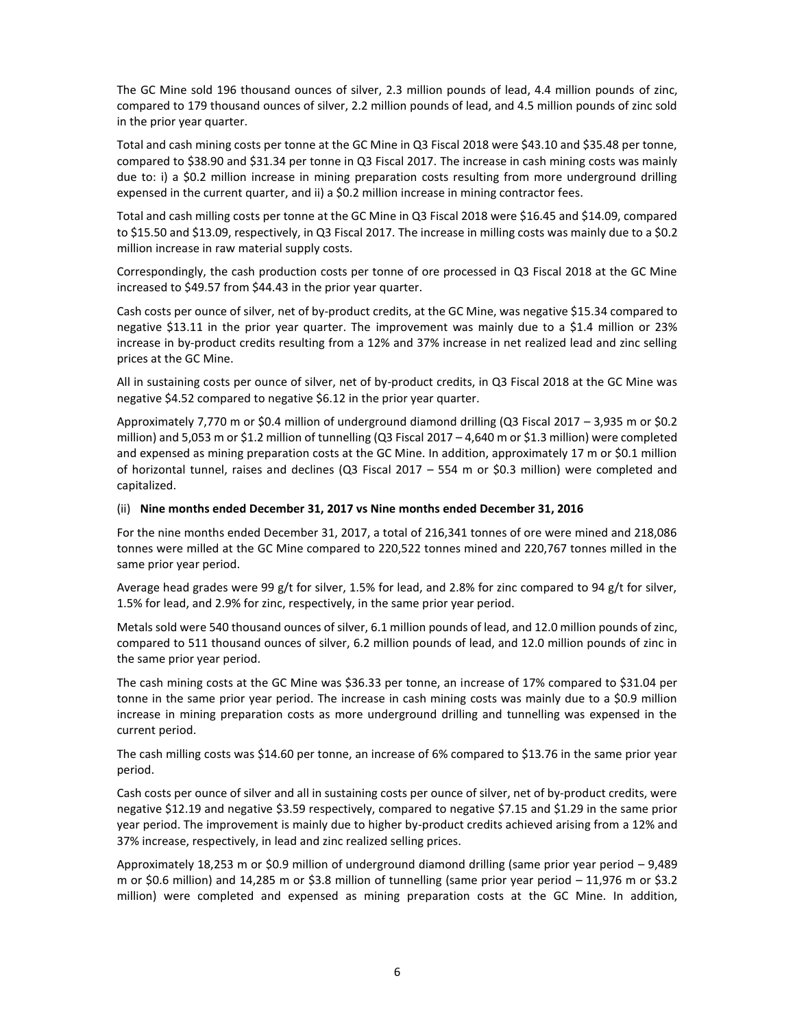The GC Mine sold 196 thousand ounces of silver, 2.3 million pounds of lead, 4.4 million pounds of zinc, compared to 179 thousand ounces of silver, 2.2 million pounds of lead, and 4.5 million pounds of zinc sold in the prior year quarter.

Total and cash mining costs per tonne at the GC Mine in Q3 Fiscal 2018 were \$43.10 and \$35.48 per tonne, compared to \$38.90 and \$31.34 per tonne in Q3 Fiscal 2017. The increase in cash mining costs was mainly due to: i) a \$0.2 million increase in mining preparation costs resulting from more underground drilling expensed in the current quarter, and ii) a \$0.2 million increase in mining contractor fees.

Total and cash milling costs per tonne at the GC Mine in Q3 Fiscal 2018 were \$16.45 and \$14.09, compared to \$15.50 and \$13.09, respectively, in Q3 Fiscal 2017. The increase in milling costs was mainly due to a \$0.2 million increase in raw material supply costs.

Correspondingly, the cash production costs per tonne of ore processed in Q3 Fiscal 2018 at the GC Mine increased to \$49.57 from \$44.43 in the prior year quarter.

Cash costs per ounce of silver, net of by-product credits, at the GC Mine, was negative \$15.34 compared to negative \$13.11 in the prior year quarter. The improvement was mainly due to a \$1.4 million or 23% increase in by-product credits resulting from a 12% and 37% increase in net realized lead and zinc selling prices at the GC Mine.

All in sustaining costs per ounce of silver, net of by-product credits, in Q3 Fiscal 2018 at the GC Mine was negative \$4.52 compared to negative \$6.12 in the prior year quarter.

Approximately 7,770 m or \$0.4 million of underground diamond drilling (Q3 Fiscal 2017 – 3,935 m or \$0.2 million) and 5,053 m or \$1.2 million of tunnelling (Q3 Fiscal 2017 – 4,640 m or \$1.3 million) were completed and expensed as mining preparation costs at the GC Mine. In addition, approximately 17 m or \$0.1 million of horizontal tunnel, raises and declines (Q3 Fiscal 2017 – 554 m or \$0.3 million) were completed and capitalized.

#### (ii) **Nine months ended December 31, 2017 vs Nine months ended December 31, 2016**

For the nine months ended December 31, 2017, a total of 216,341 tonnes of ore were mined and 218,086 tonnes were milled at the GC Mine compared to 220,522 tonnes mined and 220,767 tonnes milled in the same prior year period.

Average head grades were 99 g/t for silver, 1.5% for lead, and 2.8% for zinc compared to 94 g/t for silver, 1.5% for lead, and 2.9% for zinc, respectively, in the same prior year period.

Metals sold were 540 thousand ounces of silver, 6.1 million pounds of lead, and 12.0 million pounds of zinc, compared to 511 thousand ounces of silver, 6.2 million pounds of lead, and 12.0 million pounds of zinc in the same prior year period.

The cash mining costs at the GC Mine was \$36.33 per tonne, an increase of 17% compared to \$31.04 per tonne in the same prior year period. The increase in cash mining costs was mainly due to a \$0.9 million increase in mining preparation costs as more underground drilling and tunnelling was expensed in the current period.

The cash milling costs was \$14.60 per tonne, an increase of 6% compared to \$13.76 in the same prior year period.

Cash costs per ounce of silver and all in sustaining costs per ounce of silver, net of by‐product credits, were negative \$12.19 and negative \$3.59 respectively, compared to negative \$7.15 and \$1.29 in the same prior year period. The improvement is mainly due to higher by-product credits achieved arising from a 12% and 37% increase, respectively, in lead and zinc realized selling prices.

Approximately 18,253 m or \$0.9 million of underground diamond drilling (same prior year period – 9,489 m or \$0.6 million) and 14,285 m or \$3.8 million of tunnelling (same prior year period  $-11,976$  m or \$3.2 million) were completed and expensed as mining preparation costs at the GC Mine. In addition,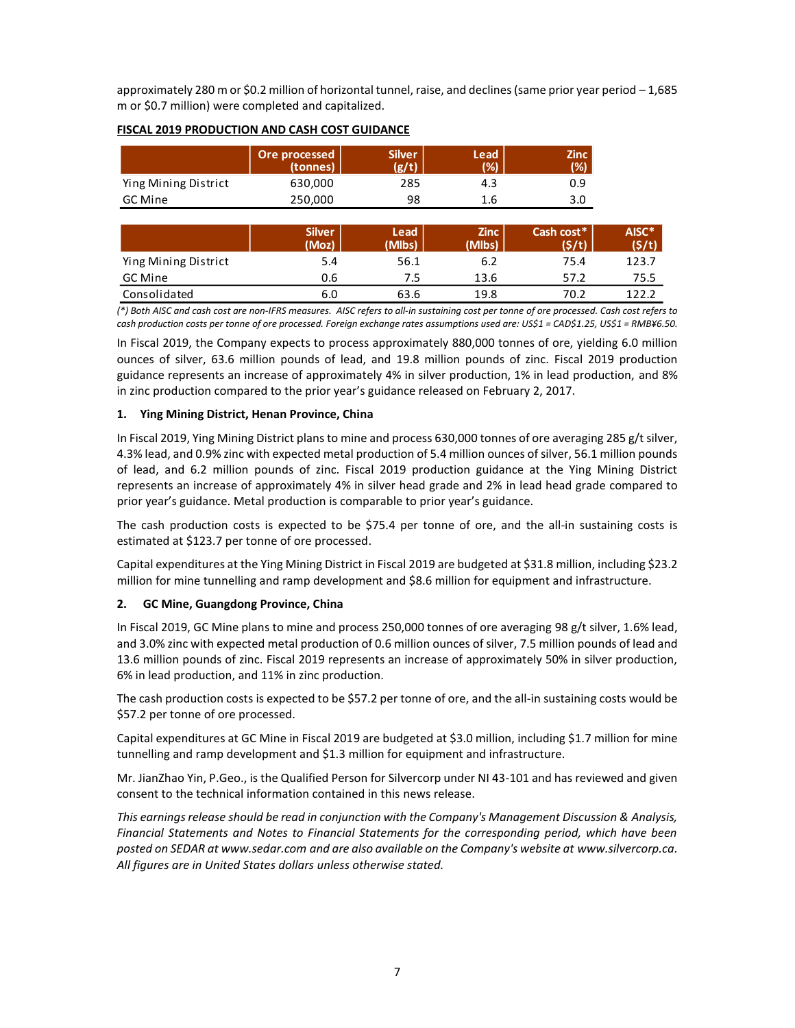approximately 280 m or \$0.2 million of horizontal tunnel, raise, and declines (same prior year period – 1,685 m or \$0.7 million) were completed and capitalized.

|                      | Ore processed<br>(tonnes) | <b>Silver</b><br>$\sigma$ /t) | Lead<br>(%) | Zinc<br>$(\%)$ |
|----------------------|---------------------------|-------------------------------|-------------|----------------|
| Ying Mining District | 630,000                   | 285                           | 4.3         | 0.9            |
| GC Mine              | 250.000                   | 98                            | 1.6         | 3.0            |

### **FISCAL 2019 PRODUCTION AND CASH COST GUIDANCE**

|                      | <b>Silver</b><br>(Moz) | <b>Lead</b><br>(Mlbs) | <b>Zinc</b><br>(Mlbs) | Cash cost*<br>(S/t) | AISC*<br>(S/t) |
|----------------------|------------------------|-----------------------|-----------------------|---------------------|----------------|
| Ying Mining District | 5.4                    | 56.1                  | 6.2                   | 75.4                | 123.7          |
| GC Mine              | 0.6                    | 7.5                   | 13.6                  | 57.2                | 75.5           |
| Consolidated         | 6.0                    | 63.6                  | 19.8                  | 70.2                | 122.2          |

*(\*) Both AISC and cash cost are non-IFRS measures. AISC refers to all-in sustaining cost per tonne of ore processed. Cash cost refers to cash production costs per tonne of ore processed. Foreign exchange rates assumptions used are: US\$1 = CAD\$1.25, US\$1 = RMB¥6.50.* 

In Fiscal 2019, the Company expects to process approximately 880,000 tonnes of ore, yielding 6.0 million ounces of silver, 63.6 million pounds of lead, and 19.8 million pounds of zinc. Fiscal 2019 production guidance represents an increase of approximately 4% in silver production, 1% in lead production, and 8% in zinc production compared to the prior year's guidance released on February 2, 2017.

### **1. Ying Mining District, Henan Province, China**

In Fiscal 2019, Ying Mining District plans to mine and process 630,000 tonnes of ore averaging 285 g/t silver, 4.3% lead, and 0.9% zinc with expected metal production of 5.4 million ounces of silver, 56.1 million pounds of lead, and 6.2 million pounds of zinc. Fiscal 2019 production guidance at the Ying Mining District represents an increase of approximately 4% in silver head grade and 2% in lead head grade compared to prior year's guidance. Metal production is comparable to prior year's guidance.

The cash production costs is expected to be \$75.4 per tonne of ore, and the all-in sustaining costs is estimated at \$123.7 per tonne of ore processed.

Capital expenditures at the Ying Mining District in Fiscal 2019 are budgeted at \$31.8 million, including \$23.2 million for mine tunnelling and ramp development and \$8.6 million for equipment and infrastructure.

### **2. GC Mine, Guangdong Province, China**

In Fiscal 2019, GC Mine plans to mine and process 250,000 tonnes of ore averaging 98 g/t silver, 1.6% lead, and 3.0% zinc with expected metal production of 0.6 million ounces of silver, 7.5 million pounds of lead and 13.6 million pounds of zinc. Fiscal 2019 represents an increase of approximately 50% in silver production, 6% in lead production, and 11% in zinc production.

The cash production costs is expected to be \$57.2 per tonne of ore, and the all-in sustaining costs would be \$57.2 per tonne of ore processed.

Capital expenditures at GC Mine in Fiscal 2019 are budgeted at \$3.0 million, including \$1.7 million for mine tunnelling and ramp development and \$1.3 million for equipment and infrastructure.

Mr. JianZhao Yin, P.Geo., is the Qualified Person for Silvercorp under NI 43-101 and has reviewed and given consent to the technical information contained in this news release.

*This earnings release should be read in conjunction with the Company's Management Discussion & Analysis, Financial Statements and Notes to Financial Statements for the corresponding period, which have been posted on SEDAR at www.sedar.com and are also available on the Company's website at www.silvercorp.ca. All figures are in United States dollars unless otherwise stated.*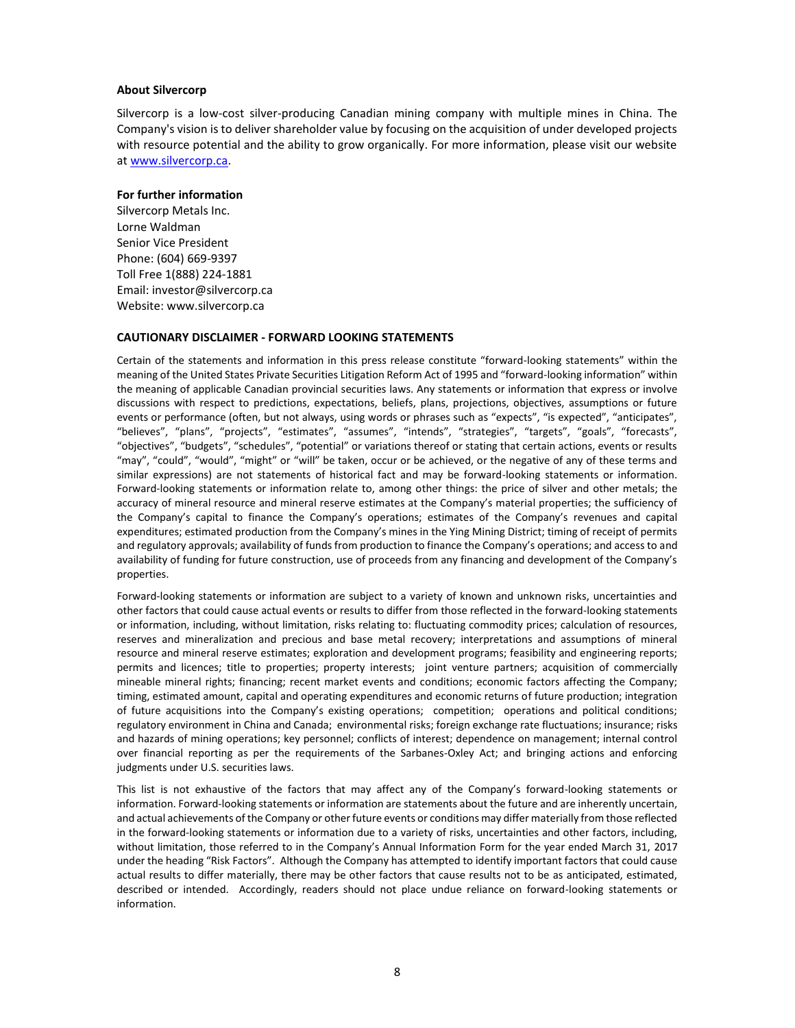#### **About Silvercorp**

Silvercorp is a low-cost silver-producing Canadian mining company with multiple mines in China. The Company's vision is to deliver shareholder value by focusing on the acquisition of under developed projects with resource potential and the ability to grow organically. For more information, please visit our website a[t www.silvercorp.ca.](http://www.silvercorp.ca/)

#### **For further information**

Silvercorp Metals Inc. Lorne Waldman Senior Vice President Phone: (604) 669-9397 Toll Free 1(888) 224-1881 Email: investor@silvercorp.ca Website: www.silvercorp.ca

### **CAUTIONARY DISCLAIMER - FORWARD LOOKING STATEMENTS**

Certain of the statements and information in this press release constitute "forward-looking statements" within the meaning of the United States Private Securities Litigation Reform Act of 1995 and "forward-looking information" within the meaning of applicable Canadian provincial securities laws. Any statements or information that express or involve discussions with respect to predictions, expectations, beliefs, plans, projections, objectives, assumptions or future events or performance (often, but not always, using words or phrases such as "expects", "is expected", "anticipates", "believes", "plans", "projects", "estimates", "assumes", "intends", "strategies", "targets", "goals", "forecasts", "objectives", "budgets", "schedules", "potential" or variations thereof or stating that certain actions, events or results "may", "could", "would", "might" or "will" be taken, occur or be achieved, or the negative of any of these terms and similar expressions) are not statements of historical fact and may be forward-looking statements or information. Forward-looking statements or information relate to, among other things: the price of silver and other metals; the accuracy of mineral resource and mineral reserve estimates at the Company's material properties; the sufficiency of the Company's capital to finance the Company's operations; estimates of the Company's revenues and capital expenditures; estimated production from the Company's mines in the Ying Mining District; timing of receipt of permits and regulatory approvals; availability of funds from production to finance the Company's operations; and access to and availability of funding for future construction, use of proceeds from any financing and development of the Company's properties.

Forward-looking statements or information are subject to a variety of known and unknown risks, uncertainties and other factors that could cause actual events or results to differ from those reflected in the forward-looking statements or information, including, without limitation, risks relating to: fluctuating commodity prices; calculation of resources, reserves and mineralization and precious and base metal recovery; interpretations and assumptions of mineral resource and mineral reserve estimates; exploration and development programs; feasibility and engineering reports; permits and licences; title to properties; property interests; joint venture partners; acquisition of commercially mineable mineral rights; financing; recent market events and conditions; economic factors affecting the Company; timing, estimated amount, capital and operating expenditures and economic returns of future production; integration of future acquisitions into the Company's existing operations; competition; operations and political conditions; regulatory environment in China and Canada; environmental risks; foreign exchange rate fluctuations; insurance; risks and hazards of mining operations; key personnel; conflicts of interest; dependence on management; internal control over financial reporting as per the requirements of the Sarbanes-Oxley Act; and bringing actions and enforcing judgments under U.S. securities laws.

This list is not exhaustive of the factors that may affect any of the Company's forward-looking statements or information. Forward-looking statements or information are statements about the future and are inherently uncertain, and actual achievements of the Company or other future events or conditions may differ materially from those reflected in the forward-looking statements or information due to a variety of risks, uncertainties and other factors, including, without limitation, those referred to in the Company's Annual Information Form for the year ended March 31, 2017 under the heading "Risk Factors". Although the Company has attempted to identify important factors that could cause actual results to differ materially, there may be other factors that cause results not to be as anticipated, estimated, described or intended. Accordingly, readers should not place undue reliance on forward-looking statements or information.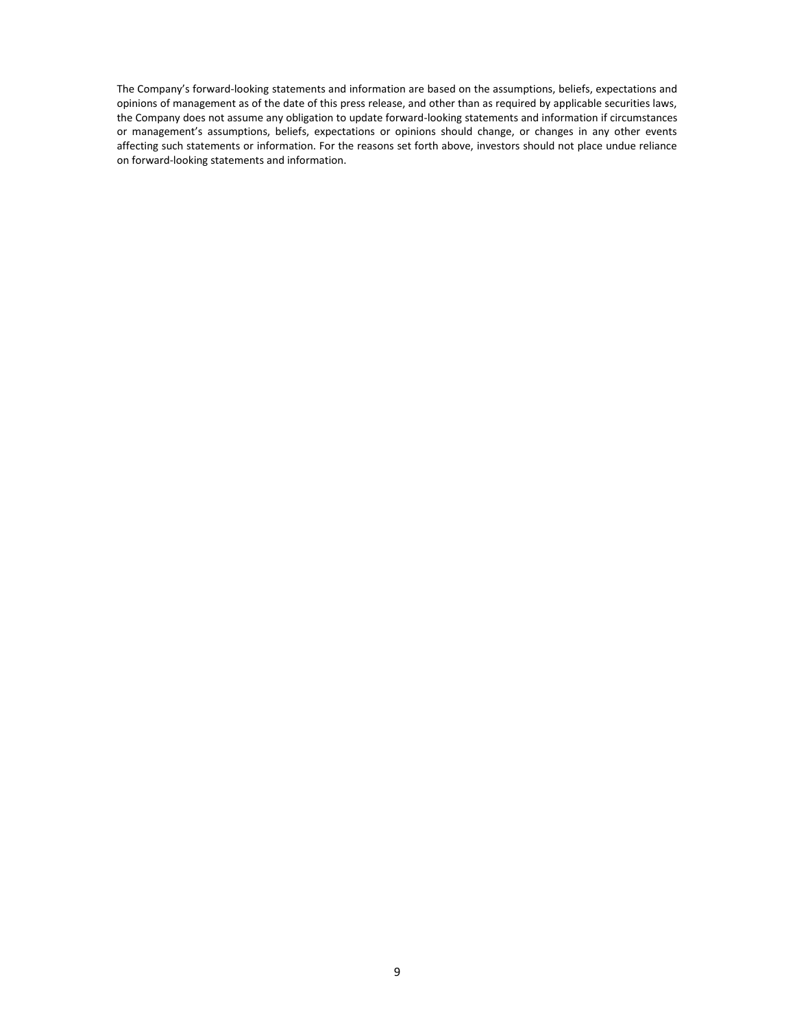The Company's forward-looking statements and information are based on the assumptions, beliefs, expectations and opinions of management as of the date of this press release, and other than as required by applicable securities laws, the Company does not assume any obligation to update forward-looking statements and information if circumstances or management's assumptions, beliefs, expectations or opinions should change, or changes in any other events affecting such statements or information. For the reasons set forth above, investors should not place undue reliance on forward-looking statements and information.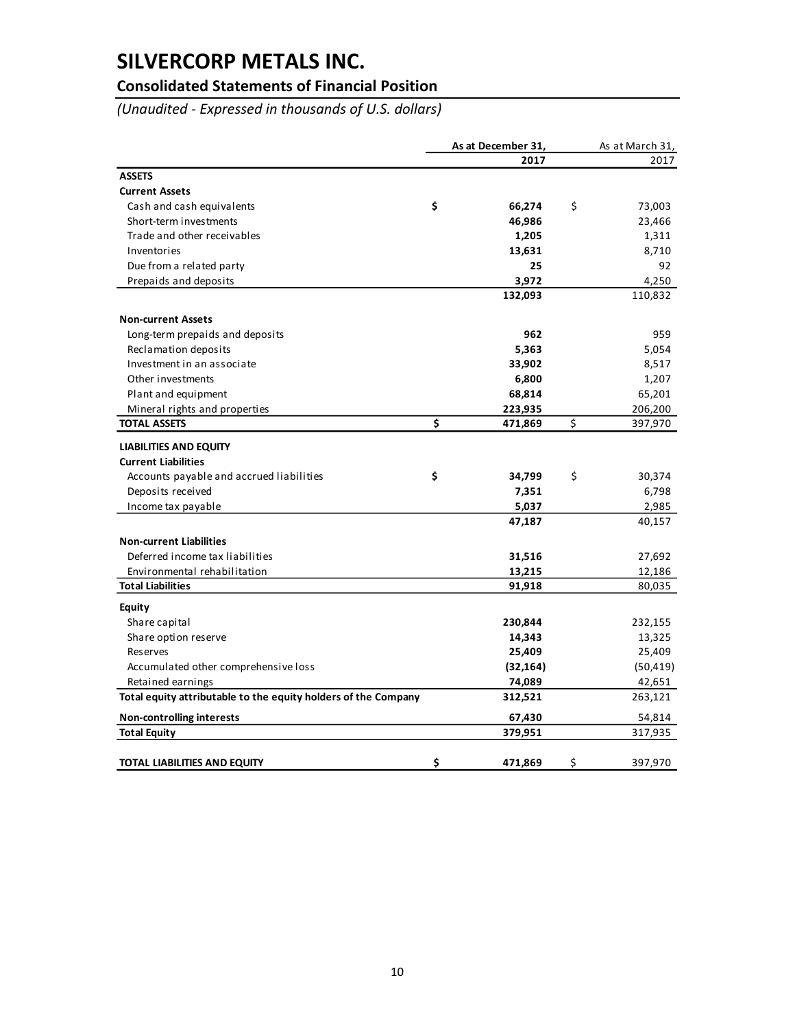## **Consolidated Statements of Financial Position**

*(Unaudited - Expressed in thousands of U.S. dollars)*

|                                                                | As at December 31, |           | As at March 31, |
|----------------------------------------------------------------|--------------------|-----------|-----------------|
|                                                                |                    | 2017      | 2017            |
| <b>ASSETS</b>                                                  |                    |           |                 |
| <b>Current Assets</b>                                          |                    |           |                 |
| Cash and cash equivalents                                      | \$                 | 66,274    | \$<br>73,003    |
| Short-term investments                                         |                    | 46,986    | 23,466          |
| Trade and other receivables                                    |                    | 1,205     | 1,311           |
| Inventories                                                    |                    | 13,631    | 8,710           |
| Due from a related party                                       |                    | 25        | 92              |
| Prepaids and deposits                                          |                    | 3,972     | 4,250           |
|                                                                |                    | 132,093   | 110,832         |
| <b>Non-current Assets</b>                                      |                    |           |                 |
| Long-term prepaids and deposits                                |                    | 962       | 959             |
| Reclamation deposits                                           |                    | 5,363     | 5,054           |
| Investment in an associate                                     |                    | 33,902    | 8,517           |
| Other investments                                              |                    | 6,800     | 1,207           |
| Plant and equipment                                            |                    | 68,814    | 65,201          |
| Mineral rights and properties                                  |                    | 223,935   | 206,200         |
| <b>TOTAL ASSETS</b>                                            | \$                 | 471,869   | \$<br>397,970   |
| <b>LIABILITIES AND EQUITY</b>                                  |                    |           |                 |
| <b>Current Liabilities</b>                                     |                    |           |                 |
| Accounts payable and accrued liabilities                       | \$                 | 34,799    | \$<br>30,374    |
| Deposits received                                              |                    | 7,351     | 6,798           |
| Income tax payable                                             |                    | 5,037     | 2,985           |
|                                                                |                    | 47,187    | 40,157          |
| <b>Non-current Liabilities</b>                                 |                    |           |                 |
| Deferred income tax liabilities                                |                    | 31,516    | 27,692          |
| Environmental rehabilitation                                   |                    | 13,215    | 12,186          |
| <b>Total Liabilities</b>                                       |                    | 91,918    | 80,035          |
| <b>Equity</b>                                                  |                    |           |                 |
| Share capital                                                  |                    | 230,844   | 232,155         |
| Share option reserve                                           |                    | 14,343    | 13,325          |
| Reserves                                                       |                    | 25,409    | 25,409          |
| Accumulated other comprehensive loss                           |                    | (32, 164) | (50, 419)       |
| Retained earnings                                              |                    | 74,089    | 42,651          |
| Total equity attributable to the equity holders of the Company |                    | 312,521   | 263,121         |
| <b>Non-controlling interests</b>                               |                    | 67,430    | 54,814          |
| <b>Total Equity</b>                                            |                    | 379,951   | 317,935         |
| <b>TOTAL LIABILITIES AND EQUITY</b>                            | \$                 | 471,869   | \$<br>397,970   |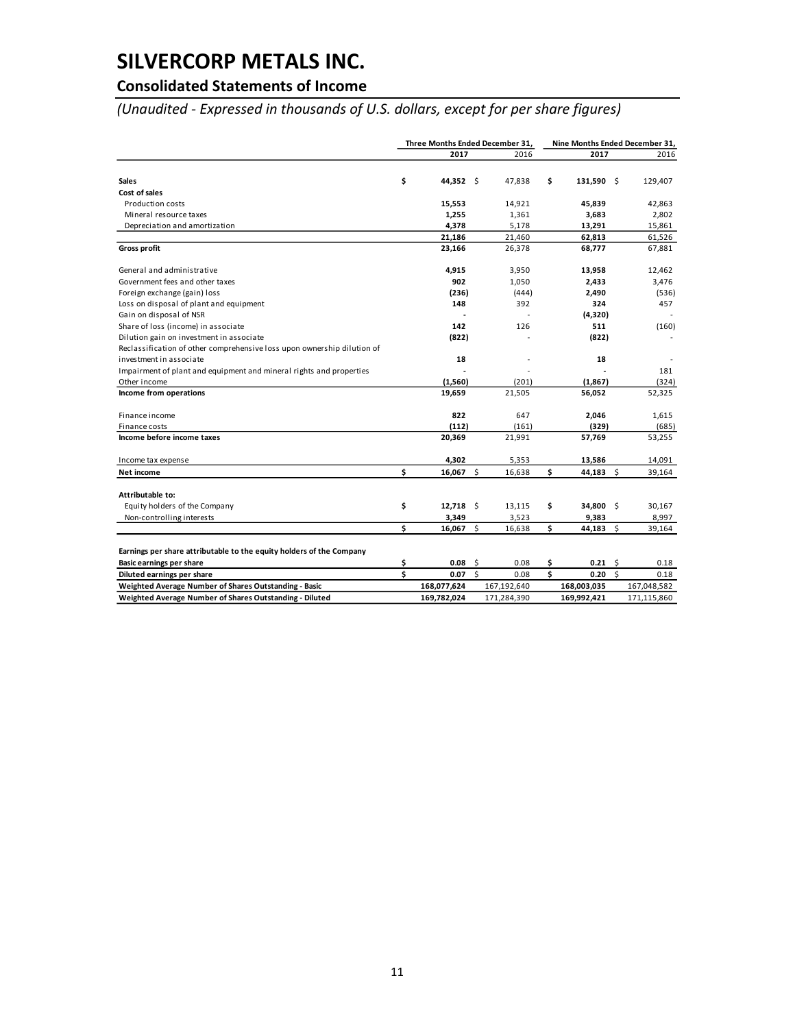# **Consolidated Statements of Income**

*(Unaudited - Expressed in thousands of U.S. dollars, except for per share figures)*

|                                                                                                  |          | Three Months Ended December 31, |                     |             | Nine Months Ended December 31, |                 |                     |             |
|--------------------------------------------------------------------------------------------------|----------|---------------------------------|---------------------|-------------|--------------------------------|-----------------|---------------------|-------------|
|                                                                                                  |          | 2017                            |                     | 2016        |                                | 2017            |                     | 2016        |
|                                                                                                  |          |                                 |                     |             |                                |                 |                     |             |
| <b>Sales</b>                                                                                     | \$       | 44,352 \$                       |                     | 47,838      | \$                             | 131,590 \$      |                     | 129,407     |
| Cost of sales                                                                                    |          |                                 |                     |             |                                |                 |                     |             |
| <b>Production costs</b>                                                                          |          | 15,553                          |                     | 14,921      |                                | 45,839          |                     | 42,863      |
| Mineral resource taxes                                                                           |          | 1,255                           |                     | 1,361       |                                | 3,683           |                     | 2,802       |
| Depreciation and amortization                                                                    |          | 4,378                           |                     | 5,178       |                                | 13,291          |                     | 15,861      |
|                                                                                                  |          | 21,186                          |                     | 21,460      |                                | 62,813          |                     | 61,526      |
| <b>Gross profit</b>                                                                              |          | 23,166                          |                     | 26,378      |                                | 68,777          |                     | 67,881      |
| General and administrative                                                                       |          | 4,915                           |                     | 3,950       |                                | 13,958          |                     | 12,462      |
| Government fees and other taxes                                                                  |          | 902                             |                     | 1,050       |                                | 2,433           |                     | 3,476       |
| Foreign exchange (gain) loss                                                                     |          | (236)                           |                     | (444)       |                                | 2,490           |                     | (536)       |
| Loss on disposal of plant and equipment                                                          |          | 148                             |                     | 392         |                                | 324             |                     | 457         |
| Gain on disposal of NSR                                                                          |          |                                 |                     |             |                                | (4,320)         |                     |             |
| Share of loss (income) in associate                                                              |          | 142                             |                     | 126         |                                | 511             |                     | (160)       |
| Dilution gain on investment in associate                                                         |          | (822)                           |                     |             |                                | (822)           |                     |             |
| Reclassification of other comprehensive loss upon ownership dilution of                          |          |                                 |                     |             |                                |                 |                     |             |
| investment in associate                                                                          |          | 18                              |                     |             |                                | 18              |                     |             |
| Impairment of plant and equipment and mineral rights and properties                              |          |                                 |                     |             |                                |                 |                     | 181         |
| Other income                                                                                     |          | (1,560)                         |                     | (201)       |                                | (1, 867)        |                     | (324)       |
| Income from operations                                                                           |          | 19,659                          |                     | 21,505      |                                | 56,052          |                     | 52,325      |
| Finance income                                                                                   |          | 822                             |                     | 647         |                                | 2,046           |                     | 1,615       |
| Finance costs                                                                                    |          | (112)                           |                     | (161)       |                                | (329)           |                     | (685)       |
| Income before income taxes                                                                       |          | 20,369                          |                     | 21,991      |                                | 57,769          |                     | 53,255      |
| Income tax expense                                                                               |          | 4,302                           |                     | 5,353       |                                | 13,586          |                     | 14,091      |
| Net income                                                                                       | \$       | 16,067 \$                       |                     | 16,638      | \$                             | 44,183 \$       |                     | 39,164      |
| Attributable to:                                                                                 |          |                                 |                     |             |                                |                 |                     |             |
| Equity holders of the Company                                                                    | \$       | $12,718$ \$                     |                     | 13,115      | \$                             | 34,800 \$       |                     | 30,167      |
| Non-controlling interests                                                                        |          | 3,349                           |                     | 3,523       |                                | 9,383           |                     | 8,997       |
|                                                                                                  | \$       | $16,067$ \$                     |                     | 16,638      | \$                             | 44,183          | \$.                 | 39,164      |
|                                                                                                  |          |                                 |                     |             |                                |                 |                     |             |
| Earnings per share attributable to the equity holders of the Company<br>Basic earnings per share |          | 0.08                            | - \$                | 0.08        | \$                             | $0.21 \quad$ \$ |                     | 0.18        |
|                                                                                                  | \$<br>\$ | 0.07                            | $\ddot{\mathsf{s}}$ |             | Ś                              | 0.20            | $\ddot{\mathsf{s}}$ |             |
| Diluted earnings per share                                                                       |          |                                 |                     | 0.08        |                                |                 |                     | 0.18        |
| Weighted Average Number of Shares Outstanding - Basic                                            |          | 168,077,624                     |                     | 167,192,640 |                                | 168,003,035     |                     | 167,048,582 |
| Weighted Average Number of Shares Outstanding - Diluted                                          |          | 169,782,024                     |                     | 171,284,390 |                                | 169,992,421     |                     | 171,115,860 |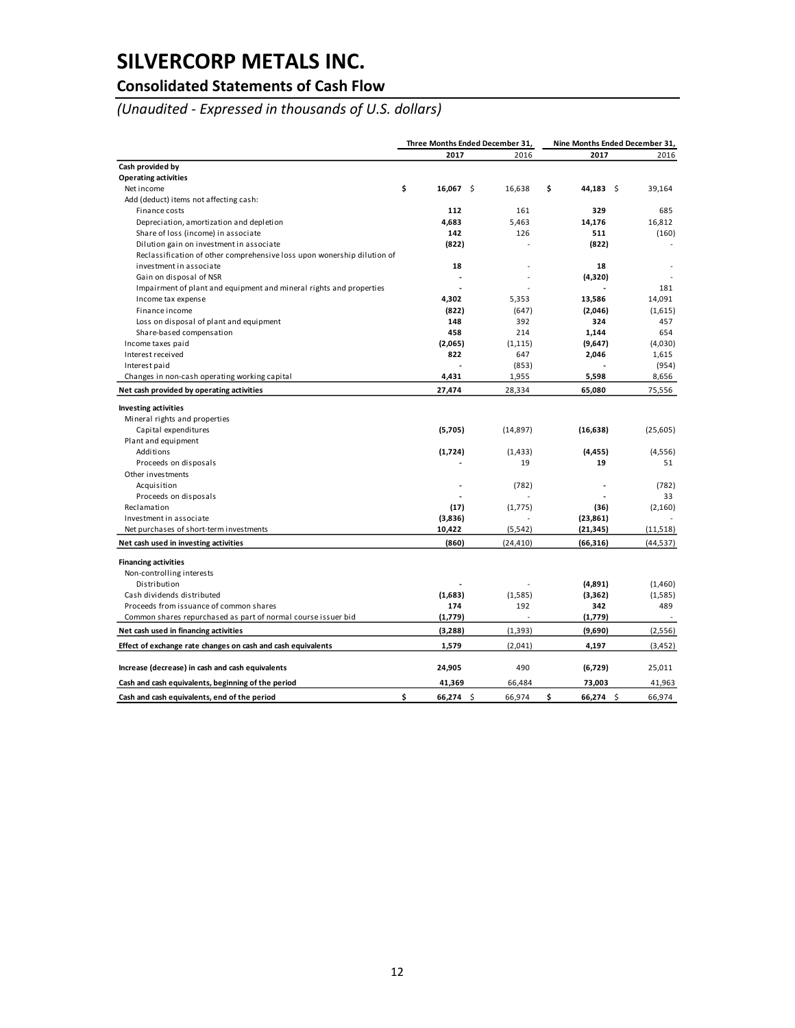## **Consolidated Statements of Cash Flow**

*(Unaudited - Expressed in thousands of U.S. dollars)*

|                                                                         | Three Months Ended December 31, |             |  | Nine Months Ended December 31, |                 |  |           |
|-------------------------------------------------------------------------|---------------------------------|-------------|--|--------------------------------|-----------------|--|-----------|
|                                                                         |                                 | 2017        |  | 2016                           | 2017            |  | 2016      |
| Cash provided by                                                        |                                 |             |  |                                |                 |  |           |
| <b>Operating activities</b>                                             |                                 |             |  |                                |                 |  |           |
| Net income                                                              | \$                              | $16,067$ \$ |  | 16,638                         | \$<br>44,183 \$ |  | 39,164    |
| Add (deduct) items not affecting cash:                                  |                                 |             |  |                                |                 |  |           |
| Finance costs                                                           |                                 | 112         |  | 161                            | 329             |  | 685       |
| Depreciation, amortization and depletion                                |                                 | 4.683       |  | 5.463                          | 14,176          |  | 16,812    |
| Share of loss (income) in associate                                     |                                 | 142         |  | 126                            | 511             |  | (160)     |
| Dilution gain on investment in associate                                |                                 | (822)       |  |                                | (822)           |  |           |
| Reclassification of other comprehensive loss upon wonership dilution of |                                 |             |  |                                |                 |  |           |
| investment in associate                                                 |                                 | 18          |  |                                | 18              |  |           |
| Gain on disposal of NSR                                                 |                                 |             |  |                                | (4,320)         |  |           |
| Impairment of plant and equipment and mineral rights and properties     |                                 |             |  |                                |                 |  | 181       |
| Income tax expense                                                      |                                 | 4,302       |  | 5,353                          | 13,586          |  | 14,091    |
| Finance income                                                          |                                 | (822)       |  | (647)                          | (2,046)         |  | (1,615)   |
| Loss on disposal of plant and equipment                                 |                                 | 148         |  | 392                            | 324             |  | 457       |
| Share-based compensation                                                |                                 | 458         |  | 214                            | 1,144           |  | 654       |
| Income taxes paid                                                       |                                 | (2,065)     |  | (1, 115)                       | (9,647)         |  | (4,030)   |
| Interest received                                                       |                                 | 822         |  | 647                            | 2,046           |  | 1,615     |
| Interest paid                                                           |                                 |             |  | (853)                          |                 |  | (954)     |
| Changes in non-cash operating working capital                           |                                 | 4,431       |  | 1,955                          | 5,598           |  | 8,656     |
| Net cash provided by operating activities                               |                                 | 27,474      |  | 28,334                         | 65,080          |  | 75,556    |
| <b>Investing activities</b>                                             |                                 |             |  |                                |                 |  |           |
| Mineral rights and properties                                           |                                 |             |  |                                |                 |  |           |
| Capital expenditures                                                    |                                 | (5,705)     |  | (14, 897)                      | (16, 638)       |  | (25, 605) |
| Plant and equipment                                                     |                                 |             |  |                                |                 |  |           |
| Additions                                                               |                                 | (1,724)     |  | (1, 433)                       | (4, 455)        |  | (4, 556)  |
| Proceeds on disposals                                                   |                                 |             |  | 19                             | 19              |  | 51        |
| Other investments                                                       |                                 |             |  |                                |                 |  |           |
| Acquisition                                                             |                                 |             |  | (782)                          |                 |  | (782)     |
| Proceeds on disposals                                                   |                                 |             |  |                                |                 |  | 33        |
| Reclamation                                                             |                                 | (17)        |  | (1,775)                        | (36)            |  | (2,160)   |
| Investment in associate                                                 |                                 | (3,836)     |  |                                | (23, 861)       |  |           |
| Net purchases of short-term investments                                 |                                 | 10,422      |  | (5, 542)                       | (21, 345)       |  | (11, 518) |
| Net cash used in investing activities                                   |                                 | (860)       |  | (24, 410)                      | (66, 316)       |  | (44, 537) |
|                                                                         |                                 |             |  |                                |                 |  |           |
| <b>Financing activities</b>                                             |                                 |             |  |                                |                 |  |           |
| Non-controlling interests                                               |                                 |             |  |                                |                 |  |           |
| Distribution                                                            |                                 |             |  |                                | (4,891)         |  | (1,460)   |
| Cash dividends distributed                                              |                                 | (1,683)     |  | (1,585)                        | (3,362)         |  | (1,585)   |
| Proceeds from issuance of common shares                                 |                                 | 174         |  | 192                            | 342             |  | 489       |
| Common shares repurchased as part of normal course issuer bid           |                                 | (1,779)     |  |                                | (1,779)         |  |           |
| Net cash used in financing activities                                   |                                 | (3,288)     |  | (1, 393)                       | (9,690)         |  | (2, 556)  |
| Effect of exchange rate changes on cash and cash equivalents            |                                 | 1,579       |  | (2,041)                        | 4,197           |  | (3, 452)  |
|                                                                         |                                 |             |  |                                |                 |  |           |
| Increase (decrease) in cash and cash equivalents                        |                                 | 24,905      |  | 490                            | (6,729)         |  | 25,011    |
| Cash and cash equivalents, beginning of the period                      |                                 | 41,369      |  | 66,484                         | 73,003          |  | 41,963    |
| Cash and cash equivalents, end of the period                            | \$                              | $66,274$ \$ |  | 66,974                         | \$<br>66,274 \$ |  | 66,974    |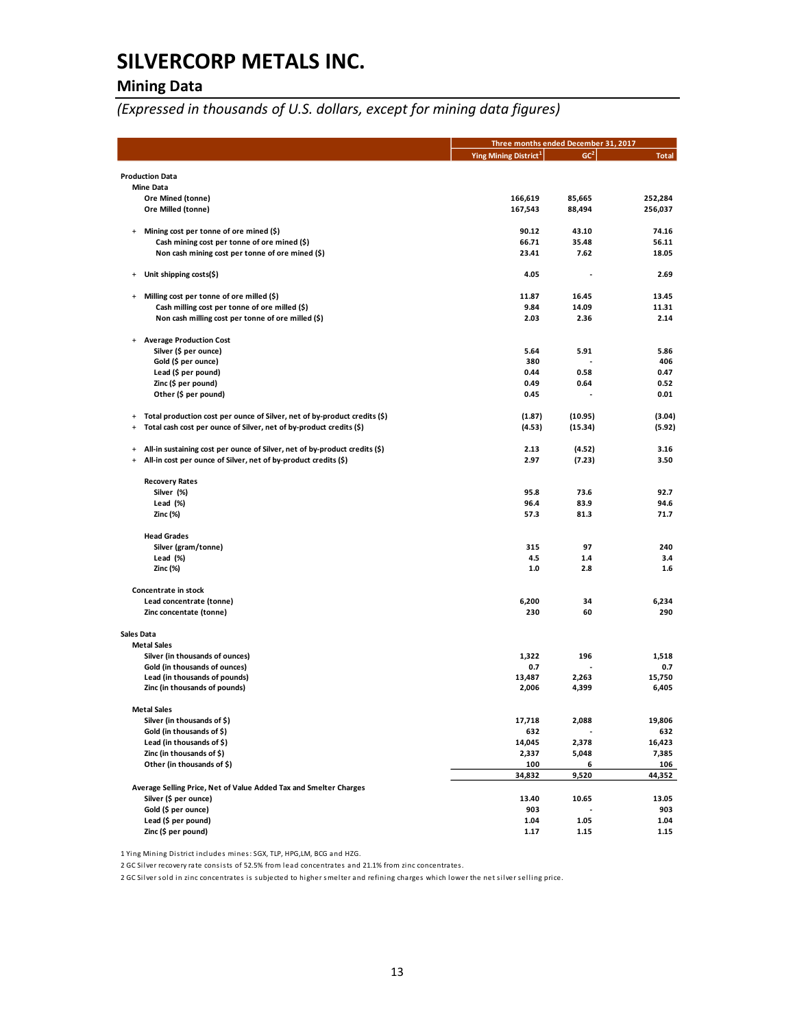## **Mining Data**

*(Expressed in thousands of U.S. dollars, except for mining data figures)*

|                                  |                                                                            |                                   | Three months ended December 31, 2017 |              |  |  |
|----------------------------------|----------------------------------------------------------------------------|-----------------------------------|--------------------------------------|--------------|--|--|
|                                  |                                                                            | Ying Mining District <sup>1</sup> | GC <sup>2</sup>                      | <b>Total</b> |  |  |
|                                  | <b>Production Data</b>                                                     |                                   |                                      |              |  |  |
|                                  | <b>Mine Data</b>                                                           |                                   |                                      |              |  |  |
|                                  | Ore Mined (tonne)                                                          | 166,619                           | 85,665                               | 252,284      |  |  |
|                                  | Ore Milled (tonne)                                                         | 167,543                           | 88,494                               | 256,037      |  |  |
|                                  |                                                                            |                                   |                                      |              |  |  |
| $\ddot{}$                        | Mining cost per tonne of ore mined (\$)                                    | 90.12                             | 43.10                                | 74.16        |  |  |
|                                  | Cash mining cost per tonne of ore mined (\$)                               | 66.71                             | 35.48                                | 56.11        |  |  |
|                                  | Non cash mining cost per tonne of ore mined (\$)                           | 23.41                             | 7.62                                 | 18.05        |  |  |
|                                  |                                                                            |                                   |                                      |              |  |  |
| $\ddot{}$                        | Unit shipping costs(\$)                                                    | 4.05                              |                                      | 2.69         |  |  |
| $\begin{array}{c} + \end{array}$ | Milling cost per tonne of ore milled (\$)                                  | 11.87                             | 16.45                                | 13.45        |  |  |
|                                  | Cash milling cost per tonne of ore milled (\$)                             | 9.84                              | 14.09                                | 11.31        |  |  |
|                                  | Non cash milling cost per tonne of ore milled (\$)                         | 2.03                              | 2.36                                 | 2.14         |  |  |
|                                  |                                                                            |                                   |                                      |              |  |  |
| $\ddot{}$                        | <b>Average Production Cost</b>                                             |                                   |                                      |              |  |  |
|                                  | Silver (\$ per ounce)                                                      | 5.64                              | 5.91                                 | 5.86         |  |  |
|                                  | Gold (\$ per ounce)                                                        | 380                               |                                      | 406          |  |  |
|                                  | Lead (\$ per pound)                                                        | 0.44                              | 0.58                                 | 0.47         |  |  |
|                                  | Zinc (\$ per pound)                                                        | 0.49                              | 0.64                                 | 0.52         |  |  |
|                                  | Other (\$ per pound)                                                       | 0.45                              |                                      | 0.01         |  |  |
| $\ddot{}$                        | Total production cost per ounce of Silver, net of by-product credits (\$)  | (1.87)                            | (10.95)                              | (3.04)       |  |  |
| $\ddot{}$                        | Total cash cost per ounce of Silver, net of by-product credits (\$)        | (4.53)                            | (15.34)                              | (5.92)       |  |  |
|                                  |                                                                            |                                   |                                      |              |  |  |
| $\ddot{}$                        | All-in sustaining cost per ounce of Silver, net of by-product credits (\$) | 2.13                              | (4.52)                               | 3.16         |  |  |
| $\ddot{}$                        | All-in cost per ounce of Silver, net of by-product credits (\$)            | 2.97                              | (7.23)                               | 3.50         |  |  |
|                                  |                                                                            |                                   |                                      |              |  |  |
|                                  | <b>Recovery Rates</b>                                                      |                                   |                                      |              |  |  |
|                                  | Silver (%)                                                                 | 95.8                              | 73.6                                 | 92.7         |  |  |
|                                  | Lead (%)                                                                   | 96.4                              | 83.9                                 | 94.6         |  |  |
|                                  | Zinc (%)                                                                   | 57.3                              | 81.3                                 | 71.7         |  |  |
|                                  | <b>Head Grades</b>                                                         |                                   |                                      |              |  |  |
|                                  | Silver (gram/tonne)                                                        | 315                               | 97                                   | 240          |  |  |
|                                  | Lead (%)                                                                   | 4.5                               | 1.4                                  | 3.4          |  |  |
|                                  | Zinc (%)                                                                   | 1.0                               | 2.8                                  | 1.6          |  |  |
|                                  |                                                                            |                                   |                                      |              |  |  |
|                                  | Concentrate in stock                                                       |                                   |                                      |              |  |  |
|                                  | Lead concentrate (tonne)                                                   | 6,200                             | 34                                   | 6,234        |  |  |
|                                  | Zinc concentate (tonne)                                                    | 230                               | 60                                   | 290          |  |  |
| Sales Data                       |                                                                            |                                   |                                      |              |  |  |
|                                  | <b>Metal Sales</b>                                                         |                                   |                                      |              |  |  |
|                                  | Silver (in thousands of ounces)                                            | 1,322                             | 196                                  | 1,518        |  |  |
|                                  | Gold (in thousands of ounces)                                              | 0.7                               |                                      | 0.7          |  |  |
|                                  | Lead (in thousands of pounds)                                              | 13.487                            | 2,263                                | 15,750       |  |  |
|                                  | Zinc (in thousands of pounds)                                              | 2,006                             | 4,399                                | 6,405        |  |  |
|                                  | <b>Metal Sales</b>                                                         |                                   |                                      |              |  |  |
|                                  | Silver (in thousands of \$)                                                | 17,718                            | 2,088                                | 19,806       |  |  |
|                                  | Gold (in thousands of \$)                                                  | 632                               |                                      | 632          |  |  |
|                                  | Lead (in thousands of \$)                                                  | 14,045                            | 2,378                                | 16,423       |  |  |
|                                  | Zinc (in thousands of \$)                                                  | 2,337                             | 5,048                                | 7,385        |  |  |
|                                  | Other (in thousands of \$)                                                 | 100                               | 6                                    | 106          |  |  |
|                                  |                                                                            | 34,832                            | 9,520                                | 44,352       |  |  |
|                                  | Average Selling Price, Net of Value Added Tax and Smelter Charges          |                                   |                                      |              |  |  |
|                                  | Silver (\$ per ounce)                                                      | 13.40                             | 10.65                                | 13.05        |  |  |
|                                  | Gold (\$ per ounce)                                                        | 903                               |                                      | 903          |  |  |
|                                  | Lead (\$ per pound)                                                        | 1.04                              | 1.05                                 | 1.04         |  |  |
|                                  | Zinc (\$ per pound)                                                        | 1.17                              | 1.15                                 | 1.15         |  |  |

1 Ying Mining District includes mines: SGX, TLP, HPG,LM, BCG and HZG.

2 GC Silver recovery rate consists of 52.5% from lead concentrates and 21.1% from zinc concentrates.

2 GC Silver sold in zinc concentrates is subjected to higher smelter and refining charges which lower the net silver selling price.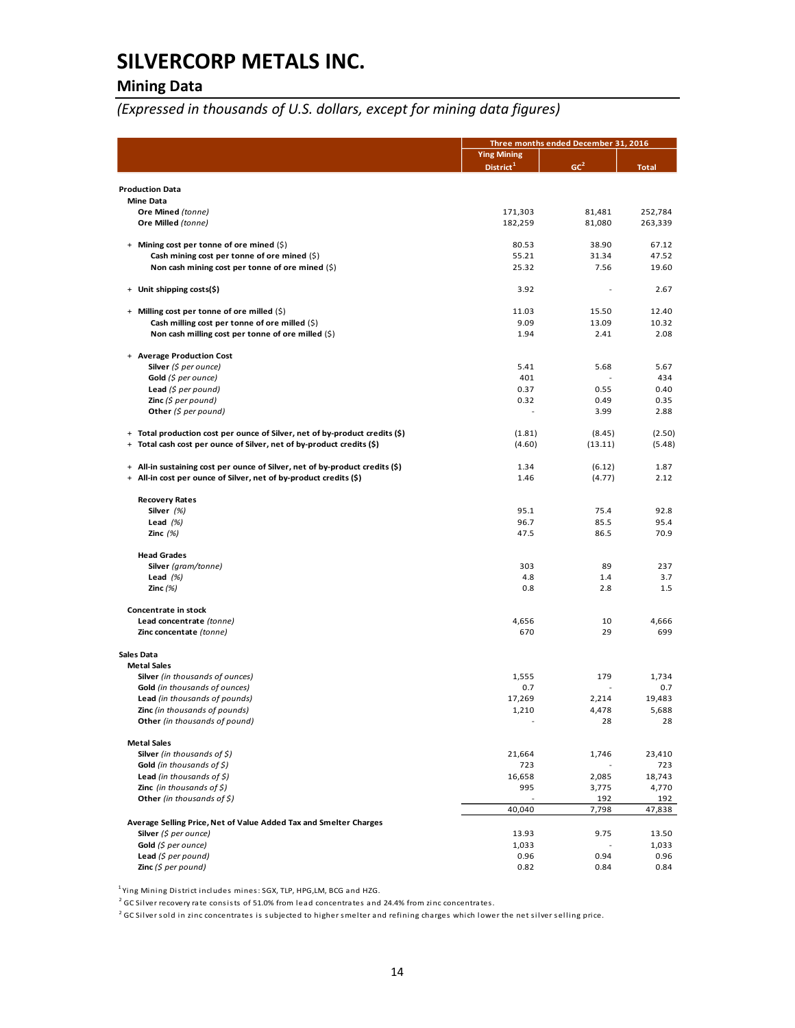## **Mining Data**

## *(Expressed in thousands of U.S. dollars, except for mining data figures)*

|                                                                                  | Three months ended December 31, 2016 |                 |              |
|----------------------------------------------------------------------------------|--------------------------------------|-----------------|--------------|
|                                                                                  | <b>Ying Mining</b>                   |                 |              |
|                                                                                  | District <sup>1</sup>                | GC <sup>2</sup> | <b>Total</b> |
| <b>Production Data</b>                                                           |                                      |                 |              |
| <b>Mine Data</b>                                                                 |                                      |                 |              |
| Ore Mined (tonne)                                                                | 171,303                              | 81,481          | 252,784      |
| Ore Milled (tonne)                                                               | 182,259                              | 81,080          | 263,339      |
| + Mining cost per tonne of ore mined (\$)                                        | 80.53                                | 38.90           | 67.12        |
| Cash mining cost per tonne of ore mined $(\xi)$                                  | 55.21                                | 31.34           | 47.52        |
| Non cash mining cost per tonne of ore mined $(\xi)$                              | 25.32                                | 7.56            | 19.60        |
|                                                                                  |                                      |                 |              |
| + Unit shipping costs(\$)                                                        | 3.92                                 |                 | 2.67         |
| + Milling cost per tonne of ore milled (\$)                                      | 11.03                                | 15.50           | 12.40        |
| Cash milling cost per tonne of ore milled (\$)                                   | 9.09                                 | 13.09           | 10.32        |
| Non cash milling cost per tonne of ore milled $(\xi)$                            | 1.94                                 | 2.41            | 2.08         |
| + Average Production Cost                                                        |                                      |                 |              |
| Silver $(\xi$ per ounce)                                                         | 5.41                                 | 5.68            | 5.67         |
| Gold $(5$ per ounce)                                                             | 401                                  |                 | 434          |
| <b>Lead</b> (\$ per pound)                                                       | 0.37                                 | 0.55            | 0.40         |
| <b>Zinc</b> (\$ per pound)<br>Other (\$ per pound)                               | 0.32                                 | 0.49<br>3.99    | 0.35<br>2.88 |
|                                                                                  |                                      |                 |              |
| + Total production cost per ounce of Silver, net of by-product credits (\$)      | (1.81)                               | (8.45)          | (2.50)       |
| Total cash cost per ounce of Silver, net of by-product credits (\$)<br>$\ddot{}$ | (4.60)                               | (13.11)         | (5.48)       |
| + All-in sustaining cost per ounce of Silver, net of by-product credits (\$)     | 1.34                                 | (6.12)          | 1.87         |
| + All-in cost per ounce of Silver, net of by-product credits (\$)                | 1.46                                 | (4.77)          | 2.12         |
|                                                                                  |                                      |                 |              |
| <b>Recovery Rates</b>                                                            |                                      |                 |              |
| Silver $(%)$<br>Lead $(%)$                                                       | 95.1<br>96.7                         | 75.4<br>85.5    | 92.8<br>95.4 |
| Zinc $(%)$                                                                       | 47.5                                 | 86.5            | 70.9         |
|                                                                                  |                                      |                 |              |
| <b>Head Grades</b>                                                               |                                      |                 |              |
| Silver (gram/tonne)<br>Lead $(\%)$                                               | 303<br>4.8                           | 89<br>1.4       | 237<br>3.7   |
| Zinc $(\%)$                                                                      | 0.8                                  | 2.8             | 1.5          |
|                                                                                  |                                      |                 |              |
| Concentrate in stock                                                             |                                      |                 |              |
| Lead concentrate (tonne)<br>Zinc concentate (tonne)                              | 4,656<br>670                         | 10<br>29        | 4,666<br>699 |
|                                                                                  |                                      |                 |              |
| <b>Sales Data</b>                                                                |                                      |                 |              |
| <b>Metal Sales</b>                                                               |                                      |                 |              |
| Silver (in thousands of ounces)<br>Gold (in thousands of ounces)                 | 1,555<br>0.7                         | 179             | 1,734<br>0.7 |
| Lead (in thousands of pounds)                                                    | 17,269                               | 2,214           | 19,483       |
| Zinc (in thousands of pounds)                                                    | 1,210                                | 4,478           | 5,688        |
| Other (in thousands of pound)                                                    |                                      | 28              | 28           |
| <b>Metal Sales</b>                                                               |                                      |                 |              |
| <b>Silver</b> (in thousands of $\zeta$ )                                         | 21,664                               | 1,746           | 23,410       |
| Gold (in thousands of $$$ )                                                      | 723                                  |                 | 723          |
| Lead (in thousands of $\zeta$ )                                                  | 16,658                               | 2,085           | 18,743       |
| <b>Zinc</b> (in thousands of $\zeta$ )<br>Other (in thousands of $\zeta$ )       | 995                                  | 3,775<br>192    | 4,770<br>192 |
|                                                                                  | 40,040                               | 7,798           | 47,838       |
| Average Selling Price, Net of Value Added Tax and Smelter Charges                |                                      |                 |              |
| Silver $(5$ per ounce)                                                           | 13.93                                | 9.75            | 13.50        |
| Gold (\$ per ounce)                                                              | 1,033                                |                 | 1,033        |
| Lead $(S$ per pound)<br>Zinc $(5$ per pound)                                     | 0.96<br>0.82                         | 0.94<br>0.84    | 0.96<br>0.84 |
|                                                                                  |                                      |                 |              |

<sup>1</sup>Ying Mining District includes mines: SGX, TLP, HPG,LM, BCG and HZG.

 $^2$  GC Silver recovery rate consists of 51.0% from lead concentrates and 24.4% from zinc concentrates.

 $^2$  GC Silver sold in zinc concentrates is subjected to higher smelter and refining charges which lower the net silver selling price.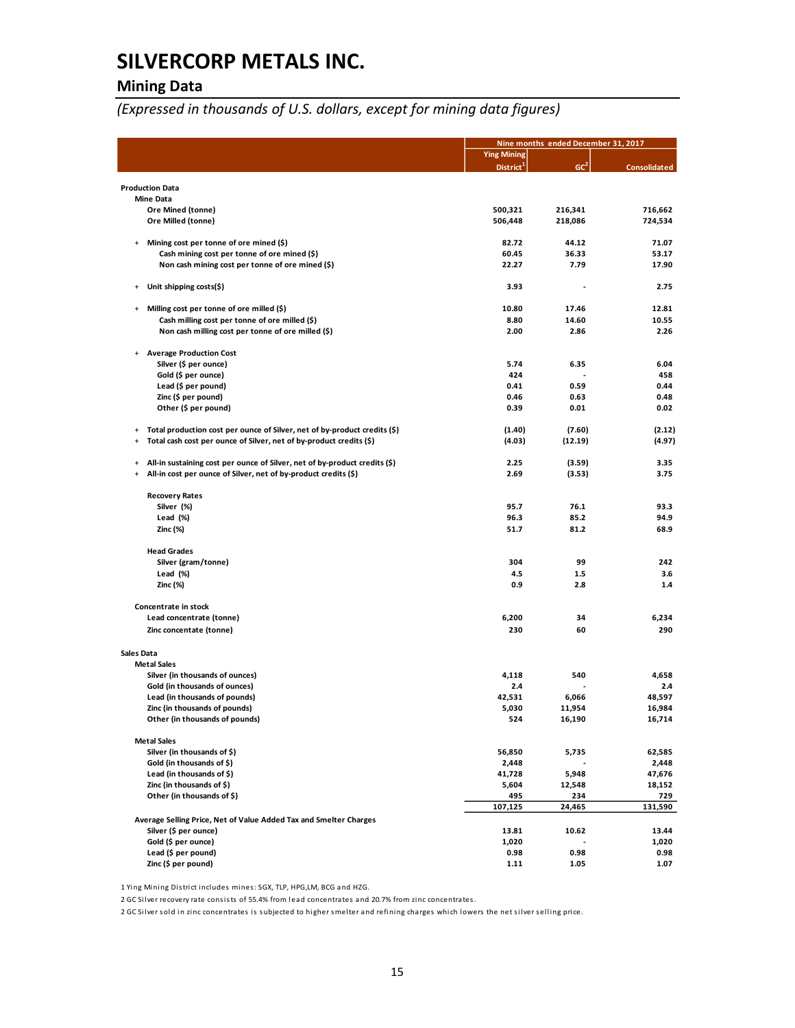## **Mining Data**

*(Expressed in thousands of U.S. dollars, except for mining data figures)*

|                                  |                                                                                                  |                       | Nine months ended December 31, 2017 |                     |  |
|----------------------------------|--------------------------------------------------------------------------------------------------|-----------------------|-------------------------------------|---------------------|--|
|                                  |                                                                                                  | <b>Ying Mining</b>    |                                     |                     |  |
|                                  |                                                                                                  | District <sup>1</sup> | GC <sup>2</sup>                     | <b>Consolidated</b> |  |
|                                  | <b>Production Data</b>                                                                           |                       |                                     |                     |  |
|                                  | <b>Mine Data</b>                                                                                 |                       |                                     |                     |  |
|                                  | Ore Mined (tonne)                                                                                | 500,321               | 216,341                             | 716,662             |  |
|                                  | Ore Milled (tonne)                                                                               | 506,448               | 218,086                             | 724,534             |  |
|                                  |                                                                                                  |                       |                                     |                     |  |
| $\ddot{}$                        | Mining cost per tonne of ore mined (\$)                                                          | 82.72                 | 44.12                               | 71.07               |  |
|                                  | Cash mining cost per tonne of ore mined (\$)<br>Non cash mining cost per tonne of ore mined (\$) | 60.45<br>22.27        | 36.33<br>7.79                       | 53.17<br>17.90      |  |
|                                  |                                                                                                  |                       |                                     |                     |  |
| $\ddot{}$                        | Unit shipping costs(\$)                                                                          | 3.93                  |                                     | 2.75                |  |
| $\begin{array}{c} + \end{array}$ | Milling cost per tonne of ore milled (\$)                                                        | 10.80                 | 17.46                               | 12.81               |  |
|                                  | Cash milling cost per tonne of ore milled (\$)                                                   | 8.80                  | 14.60                               | 10.55               |  |
|                                  | Non cash milling cost per tonne of ore milled (\$)                                               | 2.00                  | 2.86                                | 2.26                |  |
|                                  |                                                                                                  |                       |                                     |                     |  |
| $\ddot{}$                        | <b>Average Production Cost</b>                                                                   |                       |                                     |                     |  |
|                                  | Silver (\$ per ounce)<br>Gold (\$ per ounce)                                                     | 5.74<br>424           | 6.35                                | 6.04<br>458         |  |
|                                  | Lead (\$ per pound)                                                                              | 0.41                  | 0.59                                | 0.44                |  |
|                                  | Zinc (\$ per pound)                                                                              | 0.46                  | 0.63                                | 0.48                |  |
|                                  | Other (\$ per pound)                                                                             | 0.39                  | 0.01                                | 0.02                |  |
|                                  |                                                                                                  |                       |                                     |                     |  |
| $\begin{array}{c} + \end{array}$ | Total production cost per ounce of Silver, net of by-product credits (\$)                        | (1.40)                | (7.60)                              | (2.12)              |  |
| $\ddot{}$                        | Total cash cost per ounce of Silver, net of by-product credits (\$)                              | (4.03)                | (12.19)                             | (4.97)              |  |
| $\ddot{}$                        | All-in sustaining cost per ounce of Silver, net of by-product credits (\$)                       | 2.25                  | (3.59)                              | 3.35                |  |
| $\ddot{}$                        | All-in cost per ounce of Silver, net of by-product credits (\$)                                  | 2.69                  | (3.53)                              | 3.75                |  |
|                                  |                                                                                                  |                       |                                     |                     |  |
|                                  | <b>Recovery Rates</b>                                                                            |                       |                                     |                     |  |
|                                  | Silver (%)                                                                                       | 95.7                  | 76.1                                | 93.3                |  |
|                                  | Lead (%)                                                                                         | 96.3                  | 85.2                                | 94.9                |  |
|                                  | Zinc (%)                                                                                         | 51.7                  | 81.2                                | 68.9                |  |
|                                  | <b>Head Grades</b>                                                                               |                       |                                     |                     |  |
|                                  | Silver (gram/tonne)                                                                              | 304                   | 99                                  | 242                 |  |
|                                  | Lead (%)                                                                                         | 4.5                   | 1.5                                 | 3.6                 |  |
|                                  | Zinc (%)                                                                                         | 0.9                   | 2.8                                 | 1.4                 |  |
|                                  |                                                                                                  |                       |                                     |                     |  |
|                                  | Concentrate in stock<br>Lead concentrate (tonne)                                                 | 6,200                 | 34                                  | 6,234               |  |
|                                  |                                                                                                  | 230                   | 60                                  | 290                 |  |
|                                  | Zinc concentate (tonne)                                                                          |                       |                                     |                     |  |
| Sales Data                       |                                                                                                  |                       |                                     |                     |  |
|                                  | <b>Metal Sales</b>                                                                               |                       |                                     |                     |  |
|                                  | Silver (in thousands of ounces)                                                                  | 4,118                 | 540                                 | 4,658               |  |
|                                  | Gold (in thousands of ounces)                                                                    | 2.4                   |                                     | 2.4                 |  |
|                                  | Lead (in thousands of pounds)                                                                    | 42,531                | 6,066                               | 48,597              |  |
|                                  | Zinc (in thousands of pounds)                                                                    | 5,030                 | 11,954                              | 16,984              |  |
|                                  | Other (in thousands of pounds)                                                                   | 524                   | 16,190                              | 16,714              |  |
|                                  | <b>Metal Sales</b>                                                                               |                       |                                     |                     |  |
|                                  | Silver (in thousands of \$)                                                                      | 56,850                | 5,735                               | 62,585              |  |
|                                  | Gold (in thousands of \$)                                                                        | 2,448                 |                                     | 2,448               |  |
|                                  | Lead (in thousands of \$)                                                                        | 41,728                | 5,948                               | 47,676              |  |
|                                  | Zinc (in thousands of \$)                                                                        | 5,604                 | 12,548                              | 18,152              |  |
|                                  | Other (in thousands of \$)                                                                       | 495                   | 234                                 | 729                 |  |
|                                  |                                                                                                  | 107,125               | 24,465                              | 131,590             |  |
|                                  | Average Selling Price, Net of Value Added Tax and Smelter Charges                                |                       | 10.62                               | 13.44               |  |
|                                  | Silver (\$ per ounce)<br>Gold (\$ per ounce)                                                     | 13.81<br>1,020        |                                     | 1,020               |  |
|                                  | Lead (\$ per pound)                                                                              | 0.98                  | 0.98                                | 0.98                |  |
|                                  | Zinc (\$ per pound)                                                                              | 1.11                  | 1.05                                | 1.07                |  |
|                                  |                                                                                                  |                       |                                     |                     |  |

1 Ying Mining District includes mines: SGX, TLP, HPG,LM, BCG and HZG.

2 GC Silver recovery rate consists of 55.4% from lead concentrates and 20.7% from zinc concentrates.

2 GC Silver sold in zinc concentrates is subjected to higher smelter and refining charges which lowers the net silver selling price.